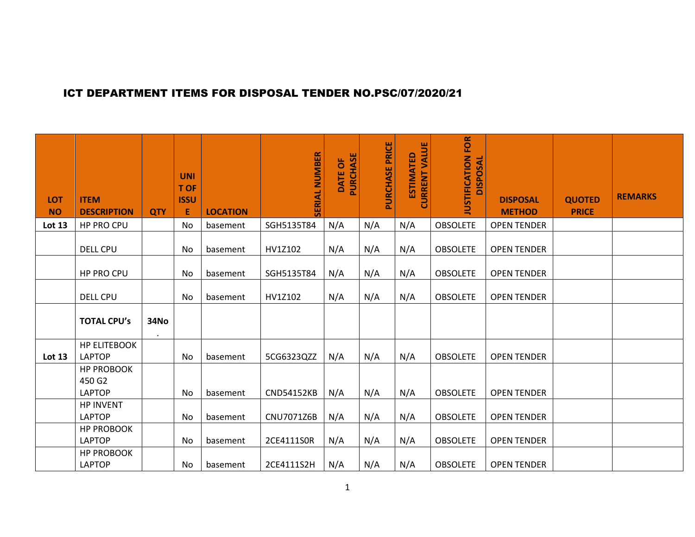## ICT DEPARTMENT ITEMS FOR DISPOSAL TENDER NO.PSC/07/2020/21

| <b>LOT</b><br><b>NO</b> | <b>ITEM</b><br><b>DESCRIPTION</b>            | <b>QTY</b>        | <b>UNI</b><br><b>T OF</b><br><b>ISSU</b><br>Е | <b>LOCATION</b> | <b>SERIAL NUMBER</b> | PURCHASE<br>DATE OF | PURCHASE PRICE | <b>CURRENT VALUE</b><br><b>ESTIMATED</b> | <b>JUSTIFICATION FOR</b><br><b>DISPOSAL</b> | <b>DISPOSAL</b><br><b>METHOD</b> | <b>QUOTED</b><br><b>PRICE</b> | <b>REMARKS</b> |
|-------------------------|----------------------------------------------|-------------------|-----------------------------------------------|-----------------|----------------------|---------------------|----------------|------------------------------------------|---------------------------------------------|----------------------------------|-------------------------------|----------------|
| <b>Lot 13</b>           | HP PRO CPU                                   |                   | No                                            | basement        | SGH5135T84           | N/A                 | N/A            | N/A                                      | <b>OBSOLETE</b>                             | <b>OPEN TENDER</b>               |                               |                |
|                         | <b>DELL CPU</b>                              |                   | No                                            | basement        | HV1Z102              | N/A                 | N/A            | N/A                                      | <b>OBSOLETE</b>                             | <b>OPEN TENDER</b>               |                               |                |
|                         | HP PRO CPU                                   |                   | No                                            | basement        | SGH5135T84           | N/A                 | N/A            | N/A                                      | <b>OBSOLETE</b>                             | <b>OPEN TENDER</b>               |                               |                |
|                         | <b>DELL CPU</b>                              |                   | No                                            | basement        | HV1Z102              | N/A                 | N/A            | N/A                                      | <b>OBSOLETE</b>                             | <b>OPEN TENDER</b>               |                               |                |
|                         | <b>TOTAL CPU's</b>                           | 34No<br>$\bullet$ |                                               |                 |                      |                     |                |                                          |                                             |                                  |                               |                |
| Lot 13                  | <b>HP ELITEBOOK</b><br><b>LAPTOP</b>         |                   | No                                            | basement        | 5CG6323QZZ           | N/A                 | N/A            | N/A                                      | <b>OBSOLETE</b>                             | <b>OPEN TENDER</b>               |                               |                |
|                         | <b>HP PROBOOK</b><br>450 G2<br><b>LAPTOP</b> |                   | No                                            | basement        | <b>CND54152KB</b>    | N/A                 | N/A            | N/A                                      | <b>OBSOLETE</b>                             | <b>OPEN TENDER</b>               |                               |                |
|                         | <b>HP INVENT</b><br><b>LAPTOP</b>            |                   | No                                            | basement        | CNU7071Z6B           | N/A                 | N/A            | N/A                                      | <b>OBSOLETE</b>                             | <b>OPEN TENDER</b>               |                               |                |
|                         | <b>HP PROBOOK</b><br><b>LAPTOP</b>           |                   | No                                            | basement        | 2CE4111S0R           | N/A                 | N/A            | N/A                                      | <b>OBSOLETE</b>                             | <b>OPEN TENDER</b>               |                               |                |
|                         | <b>HP PROBOOK</b><br><b>LAPTOP</b>           |                   | No                                            | basement        | 2CE4111S2H           | N/A                 | N/A            | N/A                                      | <b>OBSOLETE</b>                             | <b>OPEN TENDER</b>               |                               |                |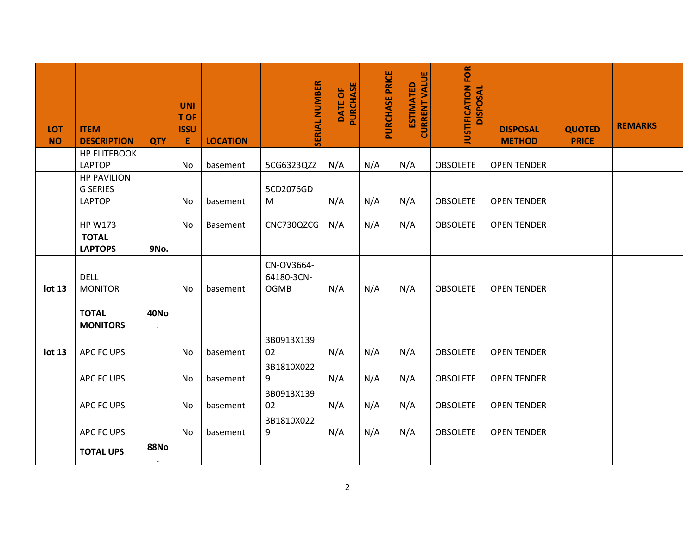| <b>LOT</b><br><b>NO</b> | <b>ITEM</b><br><b>DESCRIPTION</b>    | <b>QTY</b>             | <b>UNI</b><br>T OF<br><b>ISSU</b><br>E | <b>LOCATION</b> | <b>SERIAL NUMBER</b>                    | <b>PURCHASE</b><br>DATE OF | PURCHASE PRICE | <b>CURRENT VALUE</b><br><b>ESTIMATED</b> | JUSTIFICATION FOR<br><b>DISPOSAL</b> | <b>DISPOSAL</b><br><b>METHOD</b> | <b>QUOTED</b><br><b>PRICE</b> | <b>REMARKS</b> |
|-------------------------|--------------------------------------|------------------------|----------------------------------------|-----------------|-----------------------------------------|----------------------------|----------------|------------------------------------------|--------------------------------------|----------------------------------|-------------------------------|----------------|
|                         | <b>HP ELITEBOOK</b><br><b>LAPTOP</b> |                        | No                                     | basement        | 5CG6323QZZ                              | N/A                        | N/A            | N/A                                      | <b>OBSOLETE</b>                      | <b>OPEN TENDER</b>               |                               |                |
|                         | <b>HP PAVILION</b>                   |                        |                                        |                 |                                         |                            |                |                                          |                                      |                                  |                               |                |
|                         | <b>G SERIES</b>                      |                        |                                        |                 | 5CD2076GD                               |                            |                |                                          |                                      |                                  |                               |                |
|                         | <b>LAPTOP</b>                        |                        | No                                     | basement        | M                                       | N/A                        | N/A            | N/A                                      | <b>OBSOLETE</b>                      | <b>OPEN TENDER</b>               |                               |                |
|                         | <b>HP W173</b>                       |                        | No                                     | Basement        | CNC730QZCG                              | N/A                        | N/A            | N/A                                      | <b>OBSOLETE</b>                      | <b>OPEN TENDER</b>               |                               |                |
|                         | <b>TOTAL</b>                         |                        |                                        |                 |                                         |                            |                |                                          |                                      |                                  |                               |                |
|                         | <b>LAPTOPS</b>                       | 9No.                   |                                        |                 |                                         |                            |                |                                          |                                      |                                  |                               |                |
| lot 13                  | <b>DELL</b><br><b>MONITOR</b>        |                        | No                                     | basement        | CN-OV3664-<br>64180-3CN-<br><b>OGMB</b> | N/A                        | N/A            | N/A                                      | <b>OBSOLETE</b>                      | <b>OPEN TENDER</b>               |                               |                |
|                         | <b>TOTAL</b><br><b>MONITORS</b>      | <b>40No</b>            |                                        |                 |                                         |                            |                |                                          |                                      |                                  |                               |                |
| lot 13                  | <b>APC FC UPS</b>                    |                        | No                                     | basement        | 3B0913X139<br>02                        | N/A                        | N/A            | N/A                                      | <b>OBSOLETE</b>                      | <b>OPEN TENDER</b>               |                               |                |
|                         | <b>APC FC UPS</b>                    |                        | No                                     | basement        | 3B1810X022<br>9                         | N/A                        | N/A            | N/A                                      | <b>OBSOLETE</b>                      | <b>OPEN TENDER</b>               |                               |                |
|                         | APC FC UPS                           |                        | No                                     | basement        | 3B0913X139<br>02                        | N/A                        | N/A            | N/A                                      | <b>OBSOLETE</b>                      | <b>OPEN TENDER</b>               |                               |                |
|                         | <b>APC FC UPS</b>                    |                        | No                                     | basement        | 3B1810X022<br>9                         | N/A                        | N/A            | N/A                                      | <b>OBSOLETE</b>                      | <b>OPEN TENDER</b>               |                               |                |
|                         | <b>TOTAL UPS</b>                     | <b>88No</b><br>$\cdot$ |                                        |                 |                                         |                            |                |                                          |                                      |                                  |                               |                |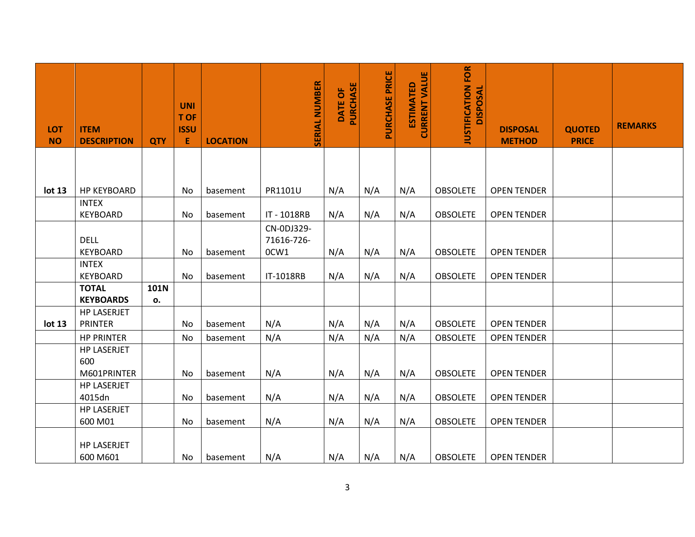| <b>LOT</b><br><b>NO</b> | <b>ITEM</b><br><b>DESCRIPTION</b>        | <b>QTY</b> | <b>UNI</b><br>T OF<br><b>ISSU</b><br>E | <b>LOCATION</b> | <b>SERIAL NUMBER</b>             | PURCHASE<br>DATE OF | PURCHASE PRICE | <b>CURRENT VALUE</b><br><b>ESTIMATED</b> | <b>JUSTIFICATION FOR</b><br><b>DISPOSAL</b> | <b>DISPOSAL</b><br><b>METHOD</b> | <b>QUOTED</b><br><b>PRICE</b> | <b>REMARKS</b> |
|-------------------------|------------------------------------------|------------|----------------------------------------|-----------------|----------------------------------|---------------------|----------------|------------------------------------------|---------------------------------------------|----------------------------------|-------------------------------|----------------|
|                         |                                          |            |                                        |                 |                                  |                     |                |                                          |                                             |                                  |                               |                |
| lot 13                  | <b>HP KEYBOARD</b>                       |            | No                                     | basement        | PR1101U                          | N/A                 | N/A            | N/A                                      | <b>OBSOLETE</b>                             | <b>OPEN TENDER</b>               |                               |                |
|                         | <b>INTEX</b><br><b>KEYBOARD</b>          |            | No                                     | basement        | IT - 1018RB                      | N/A                 | N/A            | N/A                                      | <b>OBSOLETE</b>                             | <b>OPEN TENDER</b>               |                               |                |
|                         | <b>DELL</b><br><b>KEYBOARD</b>           |            | No                                     | basement        | CN-0DJ329-<br>71616-726-<br>0CW1 | N/A                 | N/A            | N/A                                      | <b>OBSOLETE</b>                             | <b>OPEN TENDER</b>               |                               |                |
|                         | <b>INTEX</b><br><b>KEYBOARD</b>          |            | No                                     | basement        | IT-1018RB                        | N/A                 | N/A            | N/A                                      | <b>OBSOLETE</b>                             | <b>OPEN TENDER</b>               |                               |                |
|                         | <b>TOTAL</b><br><b>KEYBOARDS</b>         | 101N<br>о. |                                        |                 |                                  |                     |                |                                          |                                             |                                  |                               |                |
| lot 13                  | <b>HP LASERJET</b><br><b>PRINTER</b>     |            | No                                     | basement        | N/A                              | N/A                 | N/A            | N/A                                      | <b>OBSOLETE</b>                             | <b>OPEN TENDER</b>               |                               |                |
|                         | <b>HP PRINTER</b>                        |            | No                                     | basement        | N/A                              | N/A                 | N/A            | N/A                                      | <b>OBSOLETE</b>                             | <b>OPEN TENDER</b>               |                               |                |
|                         | <b>HP LASERJET</b><br>600<br>M601PRINTER |            | No                                     | basement        | N/A                              | N/A                 | N/A            | N/A                                      | <b>OBSOLETE</b>                             | <b>OPEN TENDER</b>               |                               |                |
|                         | <b>HP LASERJET</b><br>4015dn             |            | No                                     | basement        | N/A                              | N/A                 | N/A            | N/A                                      | <b>OBSOLETE</b>                             | <b>OPEN TENDER</b>               |                               |                |
|                         | <b>HP LASERJET</b><br>600 M01            |            | No                                     | basement        | N/A                              | N/A                 | N/A            | N/A                                      | <b>OBSOLETE</b>                             | <b>OPEN TENDER</b>               |                               |                |
|                         | <b>HP LASERJET</b><br>600 M601           |            | No                                     | basement        | N/A                              | N/A                 | N/A            | N/A                                      | <b>OBSOLETE</b>                             | <b>OPEN TENDER</b>               |                               |                |